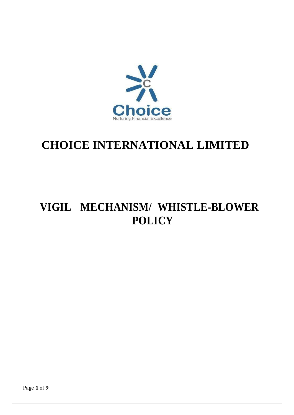

# **CHOICE INTERNATIONAL LIMITED**

## **VIGIL MECHANISM/ WHISTLE-BLOWER POLICY**

Page **1** of **9**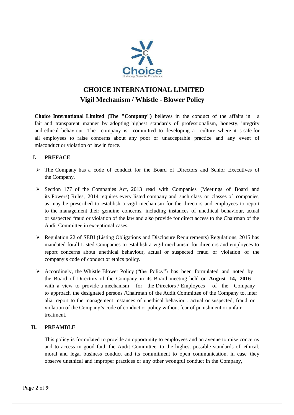

### **CHOICE INTERNATIONAL LIMITED Vigil Mechanism / Whistle - Blower Policy**

**Choice International Limited (The "Company")** believes in the conduct of the affairs in fair and transparent manner by adopting highest standards of professionalism, honesty, integrity and ethical behaviour. The company is committed to developing a culture where it is safe for all employees to raise concerns about any poor or unacceptable practice and any event of misconduct or violation of law in force.

#### **I. PREFACE**

- $\triangleright$  The Company has a code of conduct for the Board of Directors and Senior Executives of the Company.
- $\geq$  Section 177 of the Companies Act, 2013 read with Companies (Meetings of Board and its Powers) Rules, 2014 requires every listed company and such class or classes of companies, as may be prescribed to establish a vigil mechanism for the directors and employees to report to the management their genuine concerns, including instances of unethical behaviour, actual or suspected fraud or violation of the law and also provide for direct access to the Chairman of the Audit Committee in exceptional cases.
- Regulation 22 of SEBI (Listing Obligations and Disclosure Requirements) Regulations, 2015 has mandated forall Listed Companies to establish a vigil mechanism for directors and employees to report concerns about unethical behaviour, actual or suspected fraud or violation of the company s code of conduct or ethics policy.
- $\triangleright$  Accordingly, the Whistle Blower Policy ("the Policy") has been formulated and noted by the Board of Directors of the Company in its Board meeting held on **August 14, 2016** with a view to provide a mechanism for the Directors / Employees of the Company to approach the designated persons /Chairman of the Audit Committee of the Company to, inter alia, report to the management instances of unethical behaviour, actual or suspected, fraud or violation of the Company's code of conduct or policy without fear of punishment or unfair treatment.

#### **II. PREAMBLE**

This policy is formulated to provide an opportunity to employees and an avenue to raise concerns and to access in good faith the Audit Committee, to the highest possible standards of ethical, moral and legal business conduct and its commitment to open communication, in case they observe unethical and improper practices or any other wrongful conduct in the Company,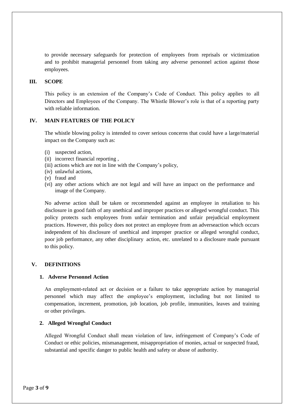to provide necessary safeguards for protection of employees from reprisals or victimization and to prohibit managerial personnel from taking any adverse personnel action against those employees.

#### **III. SCOPE**

This policy is an extension of the Company's Code of Conduct. This policy applies to all Directors and Employees of the Company. The Whistle Blower's role is that of a reporting party with reliable information.

#### **IV. MAIN FEATURES OF THE POLICY**

The whistle blowing policy is intended to cover serious concerns that could have a large/material impact on the Company such as:

- (i) suspected action,
- (ii) incorrect financial reporting ,
- (iii) actions which are not in line with the Company's policy,
- (iv) unlawful actions,
- (v) fraud and
- (vi) any other actions which are not legal and will have an impact on the performance and image of the Company.

No adverse action shall be taken or recommended against an employee in retaliation to his disclosure in good faith of any unethical and improper practices or alleged wrongful conduct. This policy protects such employees from unfair termination and unfair prejudicial employment practices. However, this policy does not protect an employee from an adverseaction which occurs independent of his disclosure of unethical and improper practice or alleged wrongful conduct, poor job performance, any other disciplinary action, etc. unrelated to a disclosure made pursuant to this policy.

#### **V. DEFINITIONS**

#### **1. Adverse Personnel Action**

An employment-related act or decision or a failure to take appropriate action by managerial personnel which may affect the employee's employment, including but not limited to compensation, increment, promotion, job location, job profile, immunities, leaves and training or other privileges.

#### **2. Alleged Wrongful Conduct**

Alleged Wrongful Conduct shall mean violation of law, infringement of Company's Code of Conduct or ethic policies, mismanagement, misappropriation of monies, actual or suspected fraud, substantial and specific danger to public health and safety or abuse of authority.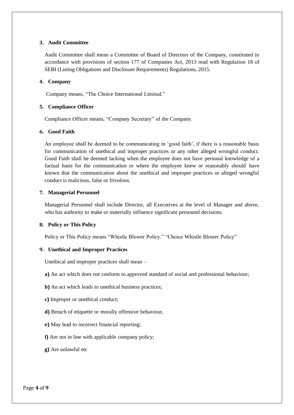#### **3. Audit Committee**

Audit Committee shall mean a Committee of Board of Directors of the Company, constituted in accordance with provisions of section 177 of Companies Act, 2013 read with Regulation 18 of SEBI (Listing Obligations and Disclosure Requirements) Regulations, 2015.

#### **4. Company**

Company means, "The Choice International Limited."

#### **5. Compliance Officer**

Compliance Officer means, "Company Secretary" of the Company.

#### **6. Good Faith**

An employee shall be deemed to be communicating in 'good faith', if there is a reasonable basis for communication of unethical and improper practices or any other alleged wrongful conduct. Good Faith shall be deemed lacking when the employee does not have personal knowledge of a factual basis for the communication or where the employee knew or reasonably should have known that the communication about the unethical and improper practices or alleged wrongful conduct is malicious, false or frivolous.

#### **7. Managerial Personnel**

Managerial Personnel shall include Director, all Executives at the level of Manager and above, who has authority to make or materially influence significant personnel decisions.

#### **8. Policy or This Policy**

Policy or This Policy means "Whistle Blower Policy." "Choice Whistle Blower Policy"

#### **9. Unethical and Improper Practices**

Unethical and improper practices shall mean –

**a)** An act which does not conform to approved standard of social and professional behaviour;

- **b)** An act which leads to unethical business practices;
- **c)** Improper or unethical conduct;
- **d)** Breach of etiquette or morally offensive behaviour,
- **e)** May lead to incorrect financial reporting;
- **f)** Are not in line with applicable company policy;
- **g)** Are unlawful etc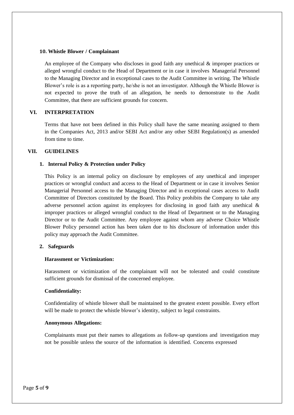#### **10. Whistle Blower / Complainant**

An employee of the Company who discloses in good faith any unethical & improper practices or alleged wrongful conduct to the Head of Department or in case it involves Managerial Personnel to the Managing Director and in exceptional cases to the Audit Committee in writing. The Whistle Blower's role is as a reporting party, he/she is not an investigator. Although the Whistle Blower is not expected to prove the truth of an allegation, he needs to demonstrate to the Audit Committee, that there are sufficient grounds for concern.

#### **VI. INTERPRETATION**

Terms that have not been defined in this Policy shall have the same meaning assigned to them in the Companies Act, 2013 and/or SEBI Act and/or any other SEBI Regulation(s) as amended from time to time.

#### **VII. GUIDELINES**

#### **1. Internal Policy & Protection under Policy**

This Policy is an internal policy on disclosure by employees of any unethical and improper practices or wrongful conduct and access to the Head of Department or in case it involves Senior Managerial Personnel access to the Managing Director and in exceptional cases access to Audit Committee of Directors constituted by the Board. This Policy prohibits the Company to take any adverse personnel action against its employees for disclosing in good faith any unethical & improper practices or alleged wrongful conduct to the Head of Department or to the Managing Director or to the Audit Committee. Any employee against whom any adverse Choice Whistle Blower Policy personnel action has been taken due to his disclosure of information under this policy may approach the Audit Committee.

#### **2. Safeguards**

#### **Harassment or Victimization:**

Harassment or victimization of the complainant will not be tolerated and could constitute sufficient grounds for dismissal of the concerned employee.

#### **Confidentiality:**

Confidentiality of whistle blower shall be maintained to the greatest extent possible. Every effort will be made to protect the whistle blower's identity, subject to legal constraints.

#### **Anonymous Allegations:**

Complainants must put their names to allegations as follow‐up questions and investigation may not be possible unless the source of the information is identified. Concerns expressed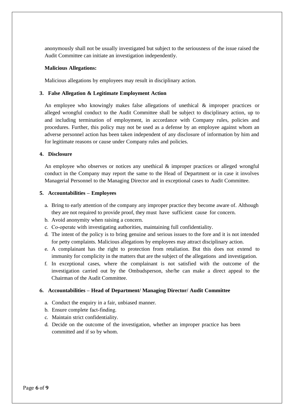anonymously shall not be usually investigated but subject to the seriousness of the issue raised the Audit Committee can initiate an investigation independently.

#### **Malicious Allegations:**

Malicious allegations by employees may result in disciplinary action.

#### **3. False Allegation & Legitimate Employment Action**

An employee who knowingly makes false allegations of unethical & improper practices or alleged wrongful conduct to the Audit Committee shall be subject to disciplinary action, up to and including termination of employment, in accordance with Company rules, policies and procedures. Further, this policy may not be used as a defense by an employee against whom an adverse personnel action has been taken independent of any disclosure of information by him and for legitimate reasons or cause under Company rules and policies.

#### **4. Disclosure**

An employee who observes or notices any unethical  $\&$  improper practices or alleged wrongful conduct in the Company may report the same to the Head of Department or in case it involves Managerial Personnel to the Managing Director and in exceptional cases to Audit Committee.

#### **5. Accountabilities – Employees**

- a. Bring to early attention of the company any improper practice they become aware of. Although they are not required to provide proof, they must have sufficient cause for concern.
- b. Avoid anonymity when raising a concern.
- c. Co‐operate with investigating authorities, maintaining full confidentiality.
- d. The intent of the policy is to bring genuine and serious issues to the fore and it is not intended for petty complaints. Malicious allegations by employees may attract disciplinary action.
- e. A complainant has the right to protection from retaliation. But this does not extend to immunity for complicity in the matters that are the subject of the allegations and investigation.
- f. In exceptional cases, where the complainant is not satisfied with the outcome of the investigation carried out by the Ombudsperson, she/he can make a direct appeal to the Chairman of the Audit Committee.

#### **6. Accountabilities – Head of Department/ Managing Director/ Audit Committee**

- a. Conduct the enquiry in a fair, unbiased manner.
- b. Ensure complete fact‐finding.
- c. Maintain strict confidentiality.
- d. Decide on the outcome of the investigation, whether an improper practice has been committed and if so by whom.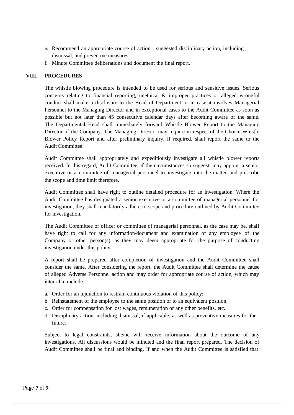- e. Recommend an appropriate course of action ‐ suggested disciplinary action, including dismissal, and preventive measures.
- f. Minute Committee deliberations and document the final report.

#### **VIII. PROCEDURES**

The whistle blowing procedure is intended to be used for serious and sensitive issues. Serious concerns relating to financial reporting, unethical & improper practices or alleged wrongful conduct shall make a disclosure to the Head of Department or in case it involves Managerial Personnel to the Managing Director and in exceptional cases to the Audit Committee as soon as possible but not later than 45 consecutive calendar days after becoming aware of the same. The Departmental Head shall immediately forward Whistle Blower Report to the Managing Director of the Company. The Managing Director may inquire in respect of the Choice Whistle Blower Policy Report and after preliminary inquiry, if required, shall report the same to the Audit Committee.

Audit Committee shall appropriately and expeditiously investigate all whistle blower reports received. In this regard, Audit Committee, if the circumstances so suggest, may appoint a senior executive or a committee of managerial personnel to investigate into the matter and prescribe the scope and time limit therefore.

Audit Committee shall have right to outline detailed procedure for an investigation. Where the Audit Committee has designated a senior executive or a committee of managerial personnel for investigation, they shall mandatorily adhere to scope and procedure outlined by Audit Committee for investigation.

The Audit Committee or officer or committee of managerial personnel, as the case may be, shall have right to call for any information/document and examination of any employee of the Company or other person(s), as they may deem appropriate for the purpose of conducting investigation under this policy.

A report shall be prepared after completion of investigation and the Audit Committee shall consider the same. After considering the report, the Audit Committee shall determine the cause of alleged Adverse Personnel action and may order for appropriate course of action, which may inter‐alia, include:

- a. Order for an injunction to restrain continuous violation of this policy;
- b. Reinstatement of the employee to the same position or to an equivalent position;
- c. Order for compensation for lost wages, remuneration or any other benefits, etc.
- d. Disciplinary action, including dismissal, if applicable, as well as preventive measures for the future.

Subject to legal constraints, she/he will receive information about the outcome of any investigations. All discussions would be minuted and the final report prepared. The decision of Audit Committee shall be final and binding. If and when the Audit Committee is satisfied that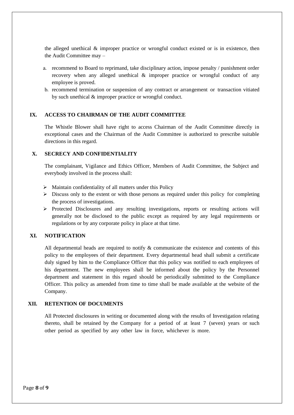the alleged unethical  $\&$  improper practice or wrongful conduct existed or is in existence, then the Audit Committee may –

- a. recommend to Board to reprimand, take disciplinary action, impose penalty / punishment order recovery when any alleged unethical & improper practice or wrongful conduct of any employee is proved.
- b. recommend termination or suspension of any contract or arrangement or transaction vitiated by such unethical & improper practice or wrongful conduct.

#### **IX. ACCESS TO CHAIRMAN OF THE AUDIT COMMITTEE**

The Whistle Blower shall have right to access Chairman of the Audit Committee directly in exceptional cases and the Chairman of the Audit Committee is authorized to prescribe suitable directions in this regard.

#### **X. SECRECY AND CONFIDENTIALITY**

The complainant, Vigilance and Ethics Officer, Members of Audit Committee, the Subject and everybody involved in the process shall:

- $\triangleright$  Maintain confidentiality of all matters under this Policy
- $\triangleright$  Discuss only to the extent or with those persons as required under this policy for completing the process of investigations.
- $\triangleright$  Protected Disclosures and any resulting investigations, reports or resulting actions will generally not be disclosed to the public except as required by any legal requirements or regulations or by any corporate policy in place at that time.

#### **XI. NOTIFICATION**

All departmental heads are required to notify & communicate the existence and contents of this policy to the employees of their department. Every departmental head shall submit a certificate duly signed by him to the Compliance Officer that this policy was notified to each employees of his department. The new employees shall be informed about the policy by the Personnel department and statement in this regard should be periodically submitted to the Compliance Officer. This policy as amended from time to time shall be made available at the website of the Company.

#### **XII. RETENTION OF DOCUMENTS**

All Protected disclosures in writing or documented along with the results of Investigation relating thereto, shall be retained by the Company for a period of at least 7 (seven) years or such other period as specified by any other law in force, whichever is more.